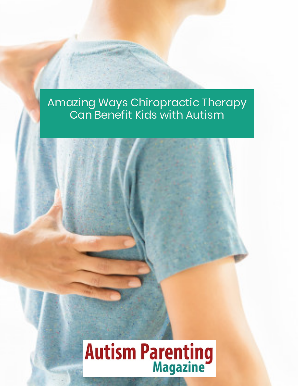# **Autism Parenting**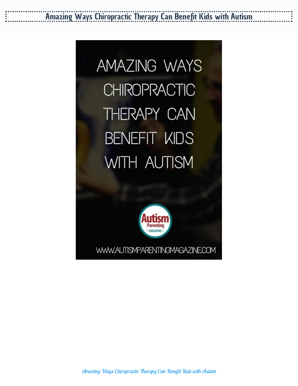**AMAZING WAYS CHIROPRACTIC** THERAPY CAN **BENEFIT KIDS** WITH AUTISM



WWW.AUTISMPARENTINGMAGAZINE.COM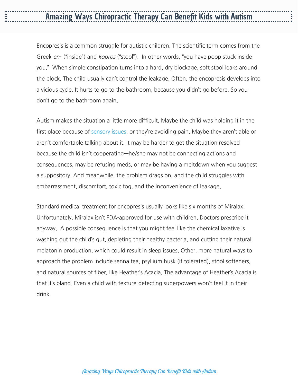Encopresis is a common struggle for autistic children. The scientific term comes from the Greek *en*- ("inside") and *kopros* ("stool"). In other words, "you have poop stuck inside you." When simple constipation turns into a hard, dry blockage, soft stool leaks around the block. The child usually can't control the leakage. Often, the encopresis develops into a vicious cycle. It hurts to go to the bathroom, because you didn't go before. So you don't go to the bathroom again.

Autism makes the situation a little more difficult. Maybe the child was holding it in the first place because of [sensory](https://www.autismparentingmagazine.com/best-sensory-play-ideas/) issues, or they're avoiding pain. Maybe they aren't able or aren't comfortable talking about it. It may be harder to get the situation resolved because the child isn't cooperating—he/she may not be connecting actions and consequences, may be refusing meds, or may be having a meltdown when you suggest a suppository. And meanwhile, the problem drags on, and the child struggles with embarrassment, discomfort, toxic fog, and the inconvenience of leakage.

Standard medical treatment for encopresis usually looks like six months of Miralax. Unfortunately, Miralax isn't FDA-approved for use with children. Doctors prescribe it anyway. A possible consequence is that you might feel like the chemical laxative is washing out the child's gut, depleting their healthy bacteria, and cutting their natural melatonin production, which could result in sleep issues. Other, more natural ways to approach the problem include senna tea, psyllium husk (if tolerated), stool softeners, and natural sources of fiber, like Heather's Acacia. The advantage of Heather's Acacia is that it's bland. Even a child with texture-detecting superpowers won't feel it in their drink.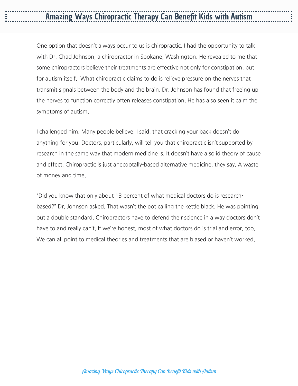One option that doesn't always occur to us is chiropractic. I had the opportunity to talk with Dr. Chad Johnson, a chiropractor in Spokane, Washington. He revealed to me that some chiropractors believe their treatments are effective not only for constipation, but for autism itself. What chiropractic claims to do is relieve pressure on the nerves that transmit signals between the body and the brain. Dr. Johnson has found that freeing up the nerves to function correctly often releases constipation. He has also seen it calm the symptoms of autism.

I challenged him. Many people believe, I said, that cracking your back doesn't do anything for you. Doctors, particularly, will tell you that chiropractic isn't supported by research in the same way that modern medicine is. It doesn't have a solid theory of cause and effect. Chiropractic is just anecdotally-based alternative medicine, they say. A waste of money and time.

"Did you know that only about 13 percent of what medical doctors do is researchbased?" Dr. Johnson asked. That wasn't the pot calling the kettle black. He was pointing out a double standard. Chiropractors have to defend their science in a way doctors don't have to and really can't. If we're honest, most of what doctors do is trial and error, too. We can all point to medical theories and treatments that are biased or haven't worked.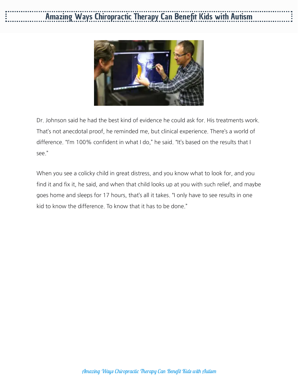

Dr. Johnson said he had the best kind of evidence he could ask for. His treatments work. That's not anecdotal proof, he reminded me, but clinical experience. There's a world of difference. "I'm 100% confident in what I do," he said. "It's based on the results that I see."

When you see a colicky child in great distress, and you know what to look for, and you find it and fix it, he said, and when that child looks up at you with such relief, and maybe goes home and sleeps for 17 hours, that's all it takes. "I only have to see results in one kid to know the difference. To know that it has to be done."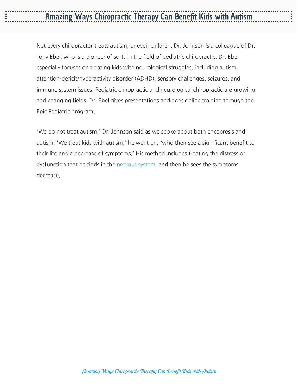Not every chiropractor treats autism, or even children. Dr. Johnson is a colleague of Dr. Tony Ebel, who is a pioneer of sorts in the field of pediatric chiropractic. Dr. Ebel especially focuses on treating kids with neurological struggles, including autism, attention-deficit/hyperactivity disorder (ADHD), sensory challenges, seizures, and immune system issues. Pediatric chiropractic and neurological chiropractic are growing and changing fields. Dr. Ebel gives presentations and does online training through the Epic Pediatric program.

"We do not treat autism," Dr. Johnson said as we spoke about both encopresis and autism. "We treat kids with autism," he went on, "who then see a significant benefit to their life and a decrease of symptoms." His method includes treating the distress or dysfunction that he finds in the [nervous](https://www.autismparentingmagazine.com/news-benefits-l-carnosine-autistic-children/) system, and then he sees the symptoms decrease.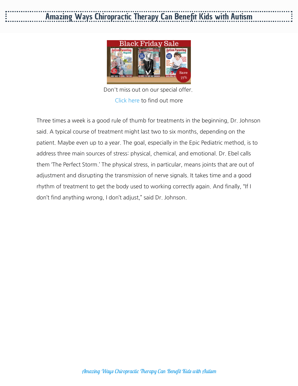

Don't miss out on our special offer. [Click](https://www.autismparentingmagazine.com/subscriptions/?utm_source=InPostBanner&utm_medium=Onsite&utm_campaign=CRO-InPostBanner) here to find out more

Three times a week is a good rule of thumb for treatments in the beginning, Dr. Johnson said. A typical course of treatment might last two to six months, depending on the patient. Maybe even up to a year. The goal, especially in the Epic Pediatric method, is to address three main sources of stress: physical, chemical, and emotional. Dr. Ebel calls them 'The Perfect Storm.' The physical stress, in particular, means joints that are out of adjustment and disrupting the transmission of nerve signals. It takes time and a good rhythm of treatment to get the body used to working correctly again. And finally, "If I don't find anything wrong, I don't adjust," said Dr. Johnson.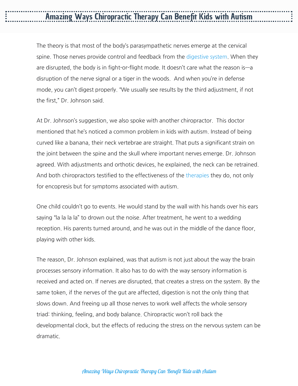The theory is that most of the body's parasympathetic nerves emerge at the cervical spine. Those nerves provide control and feedback from the [digestive](https://www.autismparentingmagazine.com/probiotics-and-autism/) system. When they are disrupted, the body is in fight-or-flight mode. It doesn't care what the reason is—a disruption of the nerve signal or a tiger in the woods. And when you're in defense mode, you can't digest properly. "We usually see results by the third adjustment, if not the first," Dr. Johnson said.

At Dr. Johnson's suggestion, we also spoke with another chiropractor. This doctor mentioned that he's noticed a common problem in kids with autism. Instead of being curved like a banana, their neck vertebrae are straight. That puts a significant strain on the joint between the spine and the skull where important nerves emerge. Dr. Johnson agreed. With adjustments and orthotic devices, he explained, the neck can be retrained. And both chiropractors testified to the effectiveness of the [therapies](https://www.autismparentingmagazine.com/autism-therapies/) they do, not only for encopresis but for symptoms associated with autism.

One child couldn't go to events. He would stand by the wall with his hands over his ears saying "la la la la" to drown out the noise. After treatment, he went to a wedding reception. His parents turned around, and he was out in the middle of the dance floor, playing with other kids.

The reason, Dr. Johnson explained, was that autism is not just about the way the brain processes sensory information. It also has to do with the way sensory information is received and acted on. If nerves are disrupted, that creates a stress on the system. By the same token, if the nerves of the gut are affected, digestion is not the only thing that slows down. And freeing up all those nerves to work well affects the whole sensory triad: thinking, feeling, and body balance. Chiropractic won't roll back the developmental clock, but the effects of reducing the stress on the nervous system can be dramatic.